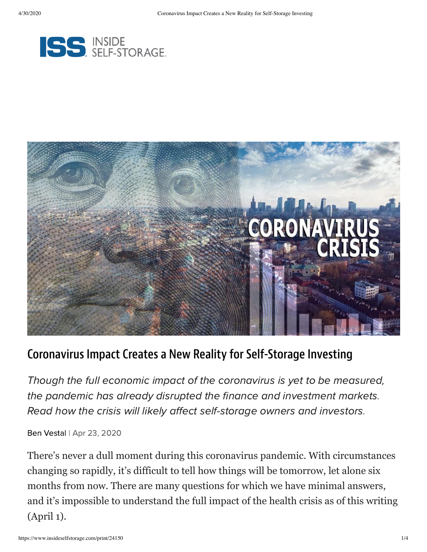



## Coronavirus Impact Creates a New Reality for Self-Storage Investing

Though the full economic impact of the coronavirus is yet to be measured, the pandemic has already disrupted the finance and investment markets. Read how the crisis will likely affect self-storage owners and investors.

Ben [Vestal](https://www.insideselfstorage.com/author/Ben-Vestal) | Apr 23, 2020

There's never a dull moment during this coronavirus pandemic. With circumstances changing so rapidly, it's difficult to tell how things will be tomorrow, let alone six months from now. There are many questions for which we have minimal answers, and it's impossible to understand the full impact of the health crisis as of this writing (April 1).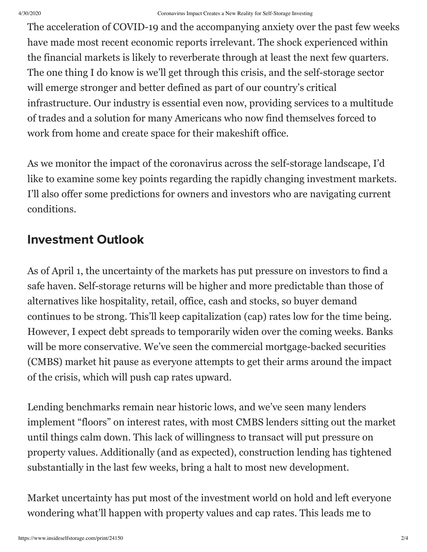The acceleration of COVID-19 and the accompanying anxiety over the past few weeks have made most recent economic reports irrelevant. The shock experienced within the financial markets is likely to reverberate through at least the next few quarters. The one thing I do know is we'll get through this crisis, and the self-storage sector will emerge stronger and better defined as part of our country's critical infrastructure. Our industry is essential even now, providing services to a multitude of trades and a solution for many Americans who now find themselves forced to work from home and create space for their makeshift office.

As we monitor the impact of the coronavirus across the self-storage landscape, I'd like to examine some key points regarding the rapidly changing investment markets. I'll also offer some predictions for owners and investors who are navigating current conditions.

## Investment Outlook

As of April 1, the uncertainty of the markets has put pressure on investors to find a safe haven. Self-storage returns will be higher and more predictable than those of alternatives like hospitality, retail, office, cash and stocks, so buyer demand continues to be strong. This'll keep capitalization (cap) rates low for the time being. However, I expect debt spreads to temporarily widen over the coming weeks. Banks will be more conservative. We've seen the commercial mortgage-backed securities (CMBS) market hit pause as everyone attempts to get their arms around the impact of the crisis, which will push cap rates upward.

Lending benchmarks remain near historic lows, and we've seen many lenders implement "floors" on interest rates, with most CMBS lenders sitting out the market until things calm down. This lack of willingness to transact will put pressure on property values. Additionally (and as expected), construction lending has tightened substantially in the last few weeks, bring a halt to most new development.

Market uncertainty has put most of the investment world on hold and left everyone wondering what'll happen with property values and cap rates. This leads me to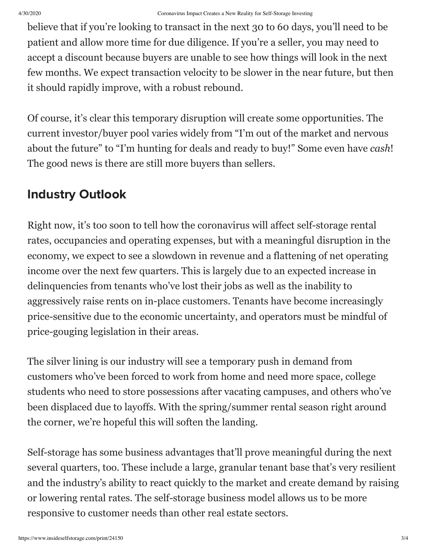believe that if you're looking to transact in the next 30 to 60 days, you'll need to be patient and allow more time for due diligence. If you're a seller, you may need to accept a discount because buyers are unable to see how things will look in the next few months. We expect transaction velocity to be slower in the near future, but then it should rapidly improve, with a robust rebound.

Of course, it's clear this temporary disruption will create some opportunities. The current investor/buyer pool varies widely from "I'm out of the market and nervous about the future" to "I'm hunting for deals and ready to buy!" Some even have *cash*! The good news is there are still more buyers than sellers.

## Industry Outlook

Right now, it's too soon to tell how the coronavirus will affect self-storage rental rates, occupancies and operating expenses, but with a meaningful disruption in the economy, we expect to see a slowdown in revenue and a flattening of net operating income over the next few quarters. This is largely due to an expected increase in delinquencies from tenants who've lost their jobs as well as the inability to aggressively raise rents on in-place customers. Tenants have become increasingly price-sensitive due to the economic uncertainty, and operators must be mindful of price-gouging legislation in their areas.

The silver lining is our industry will see a temporary push in demand from customers who've been forced to work from home and need more space, college students who need to store possessions after vacating campuses, and others who've been displaced due to layoffs. With the spring/summer rental season right around the corner, we're hopeful this will soften the landing.

Self-storage has some business advantages that'll prove meaningful during the next several quarters, too. These include a large, granular tenant base that's very resilient and the industry's ability to react quickly to the market and create demand by raising or lowering rental rates. The self-storage business model allows us to be more responsive to customer needs than other real estate sectors.